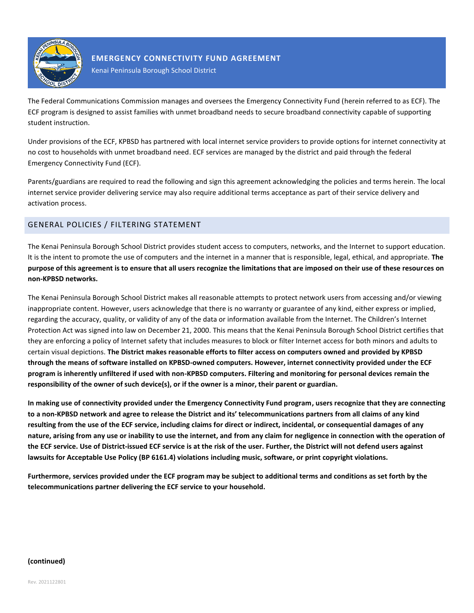

## **EMERGENCY CONNECTIVITY FUND AGREEMENT**

Kenai Peninsula Borough School District

The Federal Communications Commission manages and oversees the Emergency Connectivity Fund (herein referred to as ECF). The ECF program is designed to assist families with unmet broadband needs to secure broadband connectivity capable of supporting student instruction.

Under provisions of the ECF, KPBSD has partnered with local internet service providers to provide options for internet connectivity at no cost to households with unmet broadband need. ECF services are managed by the district and paid through the federal Emergency Connectivity Fund (ECF).

Parents/guardians are required to read the following and sign this agreement acknowledging the policies and terms herein. The local internet service provider delivering service may also require additional terms acceptance as part of their service delivery and activation process.

# GENERAL POLICIES / FILTERING STATEMENT

The Kenai Peninsula Borough School District provides student access to computers, networks, and the Internet to support education. It is the intent to promote the use of computers and the internet in a manner that is responsible, legal, ethical, and appropriate. **The purpose of this agreement is to ensure that all users recognize the limitations that are imposed on their use of these resources on non-KPBSD networks.**

The Kenai Peninsula Borough School District makes all reasonable attempts to protect network users from accessing and/or viewing inappropriate content. However, users acknowledge that there is no warranty or guarantee of any kind, either express or implied, regarding the accuracy, quality, or validity of any of the data or information available from the Internet. The Children's Internet Protection Act was signed into law on December 21, 2000. This means that the Kenai Peninsula Borough School District certifies that they are enforcing a policy of Internet safety that includes measures to block or filter Internet access for both minors and adults to certain visual depictions. **The District makes reasonable efforts to filter access on computers owned and provided by KPBSD through the means of software installed on KPBSD-owned computers. However, internet connectivity provided under the ECF program is inherently unfiltered if used with non-KPBSD computers. Filtering and monitoring for personal devices remain the responsibility of the owner of such device(s), or if the owner is a minor, their parent or guardian.**

**In making use of connectivity provided under the Emergency Connectivity Fund program, users recognize that they are connecting to a non-KPBSD network and agree to release the District and its' telecommunications partners from all claims of any kind resulting from the use of the ECF service, including claims for direct or indirect, incidental, or consequential damages of any nature, arising from any use or inability to use the internet, and from any claim for negligence in connection with the operation of the ECF service. Use of District-issued ECF service is at the risk of the user. Further, the District will not defend users against lawsuits for Acceptable Use Policy (BP 6161.4) violations including music, software, or print copyright violations.**

**Furthermore, services provided under the ECF program may be subject to additional terms and conditions as set forth by the telecommunications partner delivering the ECF service to your household.**

#### **(continued)**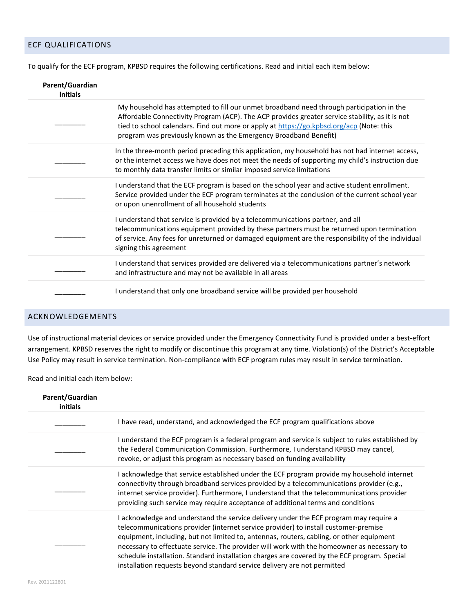## ECF QUALIFICATIONS

To qualify for the ECF program, KPBSD requires the following certifications. Read and initial each item below:

| Parent/Guardian<br>initials |                                                                                                                                                                                                                                                                                                                                                             |
|-----------------------------|-------------------------------------------------------------------------------------------------------------------------------------------------------------------------------------------------------------------------------------------------------------------------------------------------------------------------------------------------------------|
|                             | My household has attempted to fill our unmet broadband need through participation in the<br>Affordable Connectivity Program (ACP). The ACP provides greater service stability, as it is not<br>tied to school calendars. Find out more or apply at https://go.kpbsd.org/acp (Note: this<br>program was previously known as the Emergency Broadband Benefit) |
|                             | In the three-month period preceding this application, my household has not had internet access,<br>or the internet access we have does not meet the needs of supporting my child's instruction due<br>to monthly data transfer limits or similar imposed service limitations                                                                                |
|                             | I understand that the ECF program is based on the school year and active student enrollment.<br>Service provided under the ECF program terminates at the conclusion of the current school year<br>or upon unenrollment of all household students                                                                                                            |
|                             | I understand that service is provided by a telecommunications partner, and all<br>telecommunications equipment provided by these partners must be returned upon termination<br>of service. Any fees for unreturned or damaged equipment are the responsibility of the individual<br>signing this agreement                                                  |
|                             | I understand that services provided are delivered via a telecommunications partner's network<br>and infrastructure and may not be available in all areas                                                                                                                                                                                                    |
|                             | I understand that only one broadband service will be provided per household                                                                                                                                                                                                                                                                                 |

## ACKNOWLEDGEMENTS

Use of instructional material devices or service provided under the Emergency Connectivity Fund is provided under a best-effort arrangement. KPBSD reserves the right to modify or discontinue this program at any time. Violation(s) of the District's Acceptable Use Policy may result in service termination. Non-compliance with ECF program rules may result in service termination.

Read and initial each item below:

| Parent/Guardian<br>initials |                                                                                                                                                                                                                                                                                                                                                                                                                                                                                                                                                    |
|-----------------------------|----------------------------------------------------------------------------------------------------------------------------------------------------------------------------------------------------------------------------------------------------------------------------------------------------------------------------------------------------------------------------------------------------------------------------------------------------------------------------------------------------------------------------------------------------|
|                             | I have read, understand, and acknowledged the ECF program qualifications above                                                                                                                                                                                                                                                                                                                                                                                                                                                                     |
|                             | I understand the ECF program is a federal program and service is subject to rules established by<br>the Federal Communication Commission. Furthermore, I understand KPBSD may cancel,<br>revoke, or adjust this program as necessary based on funding availability                                                                                                                                                                                                                                                                                 |
|                             | I acknowledge that service established under the ECF program provide my household internet<br>connectivity through broadband services provided by a telecommunications provider (e.g.,<br>internet service provider). Furthermore, I understand that the telecommunications provider<br>providing such service may require acceptance of additional terms and conditions                                                                                                                                                                           |
|                             | I acknowledge and understand the service delivery under the ECF program may require a<br>telecommunications provider (internet service provider) to install customer-premise<br>equipment, including, but not limited to, antennas, routers, cabling, or other equipment<br>necessary to effectuate service. The provider will work with the homeowner as necessary to<br>schedule installation. Standard installation charges are covered by the ECF program. Special<br>installation requests beyond standard service delivery are not permitted |